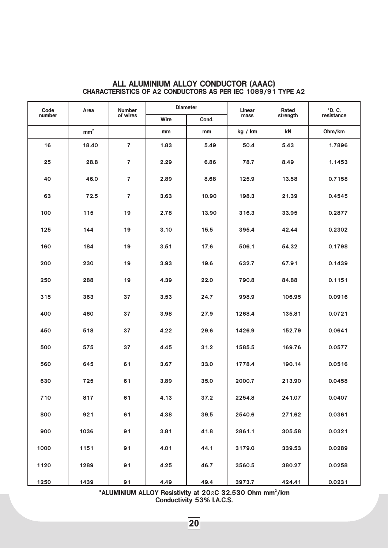| Code   | Area            | <b>Number</b>  | <b>Diameter</b> |       | Linear  | Rated                  | *D. C.     |  |
|--------|-----------------|----------------|-----------------|-------|---------|------------------------|------------|--|
| number |                 | of wires       | Wire            | Cond. | mass    | strength               | resistance |  |
|        | mm <sup>2</sup> |                | mm              | mm    | kg / km | $\mathsf{k}\mathsf{N}$ | Ohm/km     |  |
| 16     | 18.40           | $\overline{7}$ | 1.83            | 5.49  | 50.4    | 5.43                   | 1.7896     |  |
| 25     | 28.8            | $\overline{7}$ | 2.29            | 6.86  | 78.7    | 8.49                   | 1.1453     |  |
| 40     | 46.0            | $\overline{7}$ | 2.89            | 8.68  | 125.9   | 13.58                  | 0.7158     |  |
| 63     | 72.5            | $\overline{7}$ | 3.63            | 10.90 | 198.3   | 21.39                  | 0.4545     |  |
| 100    | 115             | 19             | 2.78            | 13.90 | 316.3   | 33.95                  | 0.2877     |  |
| 125    | 144             | 19             | 3.10            | 15.5  | 395.4   | 42.44                  | 0.2302     |  |
| 160    | 184             | 19             | 3.51            | 17.6  | 506.1   | 54.32                  | 0.1798     |  |
| 200    | 230             | 19             | 3.93            | 19.6  | 632.7   | 67.91                  | 0.1439     |  |
| 250    | 288             | 19             | 4.39            | 22.0  | 790.8   | 84.88                  | 0.1151     |  |
| 315    | 363             | 37             | 3.53            | 24.7  | 998.9   | 106.95                 | 0.0916     |  |
| 400    | 460             | 37             | 3.98            | 27.9  | 1268.4  | 135.81                 | 0.0721     |  |
| 450    | 518             | 37             | 4.22            | 29.6  | 1426.9  | 152.79                 | 0.0641     |  |
| 500    | 575             | 37             | 4.45            | 31.2  | 1585.5  | 169.76                 | 0.0577     |  |
| 560    | 645             | 61             | 3.67            | 33.0  | 1778.4  | 190.14                 | 0.0516     |  |
| 630    | 725             | 61             | 3.89            | 35.0  | 2000.7  | 213.90                 | 0.0458     |  |
| 710    | 817             | 61             | 4.13            | 37.2  | 2254.8  | 241.07                 | 0.0407     |  |
| 800    | 921             | 61             | 4.38            | 39.5  | 2540.6  | 271.62                 | 0.0361     |  |
| 900    | 1036            | 91             | 3.81            | 41.8  | 2861.1  | 305.58                 | 0.0321     |  |
| 1000   | 1151            | 91             | 4.01            | 44.1  | 3179.0  | 339.53                 | 0.0289     |  |
| 1120   | 1289            | 91             | 4.25            | 46.7  | 3560.5  | 380.27                 | 0.0258     |  |
| 1250   | 1439            | 91             | 4.49            | 49.4  | 3973.7  | 424.41                 | 0.0231     |  |

#### ALL ALUMINIUM ALLOY CONDUCTOR (AAAC) CHARACTERISTICS OF A2 CONDUCTORS AS PER IEC 1089/91 TYPE A2

\*ALUMINIUM ALLOY Resistivity at  $20\%$ C 32.530 Ohm mm<sup>2</sup>/km Conductivity 53% I.A.C.S. Ø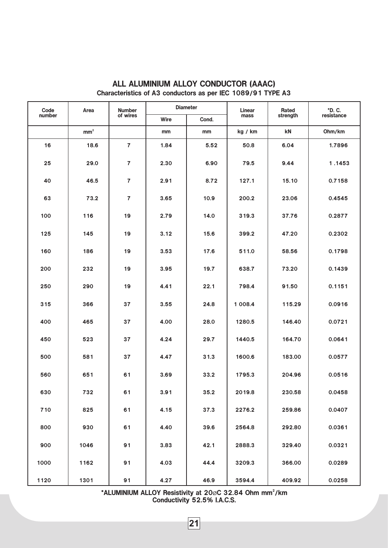| Code   | Area            | Number         | <b>Diameter</b> |       | Linear  | Rated    | *D. C.     |
|--------|-----------------|----------------|-----------------|-------|---------|----------|------------|
| number |                 | of wires       | Wire            | Cond. | mass    | strength | resistance |
|        | mm <sup>2</sup> |                | mm              | mm    | kg / km | kN       | Ohm/km     |
| 16     | 18.6            | $\overline{7}$ | 1.84            | 5.52  | 50.8    | 6.04     | 1.7896     |
| 25     | 29.0            | $\overline{7}$ | 2.30            | 6.90  | 79.5    | 9.44     | 1.1453     |
| 40     | 46.5            | $\overline{7}$ | 2.91            | 8.72  | 127.1   | 15.10    | 0.7158     |
| 63     | 73.2            | $\overline{7}$ | 3.65            | 10.9  | 200.2   | 23.06    | 0.4545     |
| 100    | 116             | 19             | 2.79            | 14.0  | 319.3   | 37.76    | 0.2877     |
| 125    | 145             | 19             | 3.12            | 15.6  | 399.2   | 47.20    | 0.2302     |
| 160    | 186             | 19             | 3.53            | 17.6  | 511.0   | 58.56    | 0.1798     |
| 200    | 232             | 19             | 3.95            | 19.7  | 638.7   | 73.20    | 0.1439     |
| 250    | 290             | 19             | 4.41            | 22.1  | 798.4   | 91.50    | 0.1151     |
| 315    | 366             | 37             | 3.55            | 24.8  | 1 008.4 | 115.29   | 0.0916     |
| 400    | 465             | 37             | 4.00            | 28.0  | 1280.5  | 146.40   | 0.0721     |
| 450    | 523             | 37             | 4.24            | 29.7  | 1440.5  | 164.70   | 0.0641     |
| 500    | 581             | 37             | 4.47            | 31.3  | 1600.6  | 183.00   | 0.0577     |
| 560    | 651             | 61             | 3.69            | 33.2  | 1795.3  | 204.96   | 0.0516     |
| 630    | 732             | 61             | 3.91            | 35.2  | 2019.8  | 230.58   | 0.0458     |
| 710    | 825             | 61             | 4.15            | 37.3  | 2276.2  | 259.86   | 0.0407     |
| 800    | 930             | 61             | 4.40            | 39.6  | 2564.8  | 292.80   | 0.0361     |
| 900    | 1046            | 91             | 3.83            | 42.1  | 2888.3  | 329.40   | 0.0321     |
| 1000   | 1162            | 91             | 4.03            | 44.4  | 3209.3  | 366.00   | 0.0289     |
| 1120   | 1301            | 91             | 4.27            | 46.9  | 3594.4  | 409.92   | 0.0258     |

# ALL ALUMINIUM ALLOY CONDUCTOR (AAAC) Characteristics of A3 conductors as per IEC 1089/91 TYPE A3

\*ALUMINIUM ALLOY Resistivity at  $20\%$ C 32.84 Ohm mm<sup>2</sup>/km Conductivity 52.5% I.A.C.S.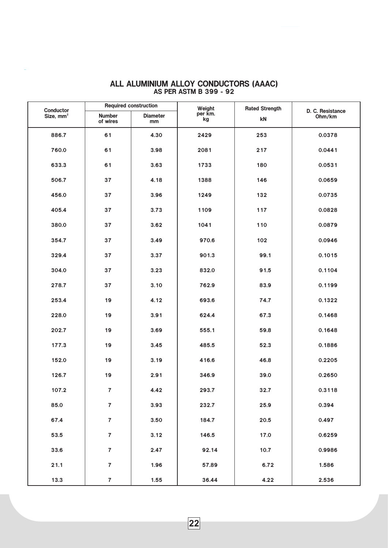| Conductor             |                           | <b>Required construction</b> | Weight        | <b>Rated Strength</b> | D. C. Resistance<br>Ohm/km |  |
|-----------------------|---------------------------|------------------------------|---------------|-----------------------|----------------------------|--|
| Size, mm <sup>2</sup> | <b>Number</b><br>of wires | <b>Diameter</b><br>mm        | per km.<br>kg | kN                    |                            |  |
| 886.7                 | 61                        | 4.30                         | 2429          | 253                   | 0.0378                     |  |
| 760.0                 | 61                        | 3.98                         | 2081          | 217                   | 0.0441                     |  |
| 633.3                 | 61                        | 3.63                         | 1733          | 180                   | 0.0531                     |  |
| 506.7                 | 37                        | 4.18                         | 1388          | 146                   | 0.0659                     |  |
| 456.0                 | 37                        | 3.96                         | 1249          | 132                   | 0.0735                     |  |
| 405.4                 | 37                        | 3.73                         | 1109          | 117                   | 0.0828                     |  |
| 380.0                 | 37                        | 3.62                         | 1041          | 110                   | 0.0879                     |  |
| 354.7                 | 37                        | 3.49                         | 970.6         | 102                   | 0.0946                     |  |
| 329.4                 | 37                        | 3.37                         | 901.3         | 99.1                  | 0.1015                     |  |
| 304.0                 | 37                        | 3.23                         | 832.0         | 91.5                  | 0.1104                     |  |
| 278.7                 | 37                        | 3.10                         | 762.9         | 83.9                  | 0.1199                     |  |
| 253.4                 | 19                        | 4.12                         | 693.6         | 74.7                  | 0.1322                     |  |
| 228.0                 | 19                        | 3.91                         | 624.4         | 67.3                  | 0.1468                     |  |
| 202.7                 | 19                        | 3.69                         | 555.1         | 59.8                  | 0.1648                     |  |
| 177.3                 | 19                        | 3.45                         | 485.5         | 52.3                  | 0.1886                     |  |
| 152.0                 | 19                        | 3.19                         | 416.6         | 46.8                  | 0.2205                     |  |
| 126.7                 | 19                        | 2.91                         | 346.9         | 39.0                  | 0.2650                     |  |
| 107.2                 | 7                         | 4.42                         | 293.7         | 32.7                  | 0.3118                     |  |
| 85.0                  | $\overline{\mathbf{7}}$   | 3.93                         | 232.7         | 25.9                  | 0.394                      |  |
| 67.4                  | $\overline{7}$            | 3.50                         | 184.7         | 20.5                  | 0.497                      |  |
| 53.5                  | $\overline{\mathbf{7}}$   | 3.12                         | 146.5         | 17.0                  | 0.6259                     |  |
| 33.6                  | $\overline{\mathbf{7}}$   | 2.47                         | 92.14         | 10.7                  | 0.9986                     |  |
| 21.1                  | $\overline{\mathbf{7}}$   | 1.96                         | 57.89         | 6.72                  | 1.586                      |  |
| 13.3                  | $\boldsymbol{7}$          | 1.55                         | 36.44         | 4.22                  | 2.536                      |  |

#### ALL ALUMINIUM ALLOY CONDUCTORS (AAAC) AS PER ASTM B 399 - 92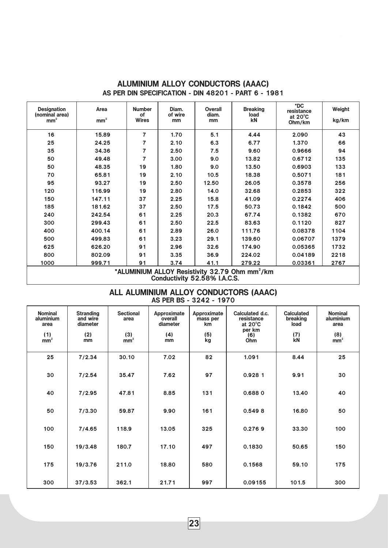| <b>Designation</b><br>(nominal area)<br>mm <sup>2</sup> | Area<br>mm <sup>2</sup>                                    | <b>Number</b><br>οf<br><b>Wires</b> | Diam.<br>of wire<br>mm | <b>Overall</b><br>diam.<br>mm | <b>Breaking</b><br>load<br>kN | *DC<br>resistance<br>at $20^{\circ}$ C<br>Ohm/km | Weight<br>kg/km |  |  |
|---------------------------------------------------------|------------------------------------------------------------|-------------------------------------|------------------------|-------------------------------|-------------------------------|--------------------------------------------------|-----------------|--|--|
| 16                                                      | 15.89                                                      | $\overline{7}$                      | 1.70                   | 5.1                           | 4.44                          | 2.090                                            | 43              |  |  |
| 25                                                      | 24.25                                                      | $\overline{7}$                      | 2.10                   | 6.3                           | 6.77                          | 1.370                                            | 66              |  |  |
| 35                                                      | 34.36                                                      | $\overline{7}$                      | 2.50                   | 7.5                           | 9.60                          | 0.9666                                           | 94              |  |  |
| 50                                                      | 49.48                                                      | $\overline{7}$                      | 3.00                   | 9.0                           | 13.82                         | 0.6712                                           | 135             |  |  |
| 50                                                      | 48.35                                                      | 19                                  | 1.80                   | 9.0                           | 13.50                         | 0.6903                                           | 133             |  |  |
| 70                                                      | 65.81                                                      | 19                                  | 2.10                   | 10.5                          | 18.38                         | 0.5071                                           | 181             |  |  |
| 95                                                      | 93.27                                                      | 19                                  | 2.50                   | 12.50                         | 26.05                         | 0.3578                                           | 256             |  |  |
| 120                                                     | 116.99                                                     | 19                                  | 2.80                   | 14.0                          | 32.68                         | 0.2853                                           | 322             |  |  |
| 150                                                     | 147.11                                                     | 37                                  | 2.25                   | 15.8                          | 41.09                         | 0.2274                                           | 406             |  |  |
| 185                                                     | 181.62                                                     | 37                                  | 2.50                   | 17.5                          | 50.73                         | 0.1842                                           | 500             |  |  |
| 240                                                     | 242.54                                                     | 61                                  | 2.25                   | 20.3                          | 67.74                         | 0.1382                                           | 670             |  |  |
| 300                                                     | 299.43                                                     | 61                                  | 2.50                   | 22.5                          | 83.63                         | 0.1120                                           | 827             |  |  |
| 400                                                     | 400.14                                                     | 61                                  | 2.89                   | 26.0                          | 111.76                        | 0.08378                                          | 1104            |  |  |
| 500                                                     | 499.83                                                     | 61                                  | 3.23                   | 29.1                          | 139.60                        | 0.06707                                          | 1379            |  |  |
| 625                                                     | 626.20                                                     | 91                                  | 2.96                   | 32.6                          | 174.90                        | 0.05365                                          | 1732            |  |  |
| 800                                                     | 802.09                                                     | 91                                  | 3.35                   | 36.9                          | 224.02                        | 0.04189                                          | 2218            |  |  |
| 1000                                                    | 999.71                                                     | 91                                  | 3.74                   | 41.1                          | 279.22                        | 0.03361                                          | 2767            |  |  |
|                                                         | *ALUMINIUM ALLOY Resistivity 32.79 Ohm mm <sup>2</sup> /km |                                     |                        |                               |                               |                                                  |                 |  |  |

# ALUMINIUM ALLOY CONDUCTORS (AAAC) AS PER DIN SPECIFICATION - DIN 48201 - PART 6 - 1981

\*ALUMINIUM ALLOY Resistivity 32.79 Ohm mm<sup>2</sup>/km Conductivity 52.58% I.A.C.S.

### ALL ALUMINIUM ALLOY CONDUCTORS (AAAC) AS PER BS - 3242 - 1970

| <b>Nominal</b><br>aluminium<br>area<br>(1)<br>$\text{mm}^2$ | <b>Stranding</b><br>and wire<br>diameter<br>(2)<br>mm | <b>Sectional</b><br>area<br>(3)<br>mm <sup>2</sup> | Approximate<br>overall<br>diameter<br>(4)<br>mm | Approximate<br>mass per<br><b>km</b><br>(5)<br>kg | Calculated d.c.<br>resistance<br>at $20^{\circ}$ C<br>per km<br>(6)<br>Ohm | <b>Calculated</b><br>breaking<br>load<br>(7)<br><b>kN</b> | <b>Nominal</b><br>aluminium<br>area<br>(8)<br>mm <sup>2</sup> |
|-------------------------------------------------------------|-------------------------------------------------------|----------------------------------------------------|-------------------------------------------------|---------------------------------------------------|----------------------------------------------------------------------------|-----------------------------------------------------------|---------------------------------------------------------------|
| 25                                                          | 7/2.34                                                | 30.10                                              | 7.02                                            | 82                                                | 1.091                                                                      | 8.44                                                      | 25                                                            |
| 30                                                          | 7/2.54                                                | 35.47                                              | 7.62                                            | 97                                                | 0.9281                                                                     | 9.91                                                      | 30                                                            |
| 40                                                          | 7/2.95                                                | 47.81                                              | 8.85                                            | 131                                               | 0.6880                                                                     | 13.40                                                     | 40                                                            |
| 50                                                          | 7/3.30                                                | 59.87                                              | 9.90                                            | 161                                               | 0.5498                                                                     | 16.80                                                     | 50                                                            |
| 100                                                         | 7/4.65                                                | 118.9                                              | 13.05                                           | 325                                               | 0.2769                                                                     | 33.30                                                     | 100                                                           |
| 150                                                         | 19/3.48                                               | 180.7                                              | 17.10                                           | 497                                               | 0.1830                                                                     | 50.65                                                     | 150                                                           |
| 175                                                         | 19/3.76                                               | 211.0                                              | 18.80                                           | 580                                               | 0.1568                                                                     | 59.10                                                     | 175                                                           |
| 300                                                         | 37/3.53                                               | 362.1                                              | 21.71                                           | 997                                               | 0.09155                                                                    | 101.5                                                     | 300                                                           |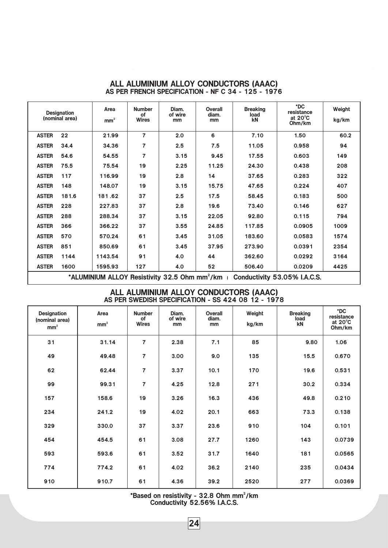|              | <b>Designation</b><br>(nominal area)                                                      | Area<br>mm <sup>2</sup> | <b>Number</b><br>0f<br><b>Wires</b> | Diam.<br>of wire<br>mm | Overall<br>diam.<br>mm | <b>Breaking</b><br>load<br>kN | *DC<br>resistance<br>at $20^{\circ}$ C<br>Ohm/km | Weight<br>kg/km |  |  |
|--------------|-------------------------------------------------------------------------------------------|-------------------------|-------------------------------------|------------------------|------------------------|-------------------------------|--------------------------------------------------|-----------------|--|--|
| <b>ASTER</b> | 22                                                                                        | 21.99                   | $\overline{7}$                      | 2.0                    | 6                      | 7.10                          | 1.50                                             | 60.2            |  |  |
| <b>ASTER</b> | 34.4                                                                                      | 34.36                   | 7                                   | 2.5                    | 7.5                    | 11.05                         | 0.958                                            | 94              |  |  |
| <b>ASTER</b> | 54.6                                                                                      | 54.55                   | 7                                   | 3.15                   | 9.45                   | 17.55                         | 0.603                                            | 149             |  |  |
| <b>ASTER</b> | 75.5                                                                                      | 75.54                   | 19                                  | 2.25                   | 11.25                  | 24.30                         | 0.438                                            | 208             |  |  |
| <b>ASTER</b> | 117                                                                                       | 116.99                  | 19                                  | 2.8                    | 14                     | 37.65                         | 0.283                                            | 322             |  |  |
| <b>ASTER</b> | 148                                                                                       | 148.07                  | 19                                  | 3.15                   | 15.75                  | 47.65                         | 0.224                                            | 407             |  |  |
| <b>ASTER</b> | 181.6                                                                                     | 181.62                  | 37                                  | 2.5                    | 17.5                   | 58.45                         | 0.183                                            | 500             |  |  |
| <b>ASTER</b> | 228                                                                                       | 227.83                  | 37                                  | 2.8                    | 19.6                   | 73.40                         | 0.146                                            | 627             |  |  |
| <b>ASTER</b> | 288                                                                                       | 288.34                  | 37                                  | 3.15                   | 22.05                  | 92.80                         | 0.115                                            | 794             |  |  |
| <b>ASTER</b> | 366                                                                                       | 366.22                  | 37                                  | 3.55                   | 24.85                  | 117.85                        | 0.0905                                           | 1009            |  |  |
| <b>ASTER</b> | 570                                                                                       | 570.24                  | 61                                  | 3.45                   | 31.05                  | 183.60                        | 0.0583                                           | 1574            |  |  |
| <b>ASTER</b> | 851                                                                                       | 850.69                  | 61                                  | 3.45                   | 37.95                  | 273.90                        | 0.0391                                           | 2354            |  |  |
| <b>ASTER</b> | 1144                                                                                      | 1143.54                 | 91                                  | 4.0                    | 44                     | 362.60                        | 0.0292                                           | 3164            |  |  |
| <b>ASTER</b> | 1600                                                                                      | 1595.93                 | 127                                 | 4.0                    | 52                     | 506.40                        | 0.0209                                           | 4425            |  |  |
|              | *ALUMINIUM ALLOY Resistivity 32.5 Ohm mm <sup>2</sup> /km<br>Conductivity 53.05% I.A.C.S. |                         |                                     |                        |                        |                               |                                                  |                 |  |  |

### ALL ALUMINIUM ALLOY CONDUCTORS (AAAC) AS PER FRENCH SPECIFICATION - NF C 34 - 125 - 1976

### ALL ALUMINIUM ALLOY CONDUCTORS (AAAC) AS PER SWEDISH SPECIFICATION - SS 424 08 12 - 1978

| <b>Designation</b><br>(nominal area)<br>mm <sup>2</sup> | Area<br>mm <sup>2</sup> | <b>Number</b><br>of<br><b>Wires</b> | Diam.<br>of wire<br>mm | Overall<br>diam.<br>mm | Weight<br>kg/km | <b>Breaking</b><br>load<br>kN | *DC<br>resistance<br>at $20^{\circ}$ C<br>Ohm/km |
|---------------------------------------------------------|-------------------------|-------------------------------------|------------------------|------------------------|-----------------|-------------------------------|--------------------------------------------------|
| 31                                                      | 31.14                   | 7                                   | 2.38                   | 7.1                    | 85              | 9.80                          | 1.06                                             |
| 49                                                      | 49.48                   | $\overline{7}$                      | 3.00                   | 9.0                    | 135             | 15.5                          | 0.670                                            |
| 62                                                      | 62.44                   | 7                                   | 3.37                   | 10.1                   | 170             | 19.6                          | 0.531                                            |
| 99                                                      | 99.31                   | $\overline{7}$                      | 4.25                   | 12.8                   | 271             | 30.2                          | 0.334                                            |
| 157                                                     | 158.6                   | 19                                  | 3.26                   | 16.3                   | 436             | 49.8                          | 0.210                                            |
| 234                                                     | 241.2                   | 19                                  | 4.02                   | 20.1                   | 663             | 73.3                          | 0.138                                            |
| 329                                                     | 330.0                   | 37                                  | 3.37                   | 23.6                   | 910             | 104                           | 0.101                                            |
| 454                                                     | 454.5                   | 61                                  | 3.08                   | 27.7                   | 1260            | 143                           | 0.0739                                           |
| 593                                                     | 593.6                   | 61                                  | 3.52                   | 31.7                   | 1640            | 181                           | 0.0565                                           |
| 774                                                     | 774.2                   | 61                                  | 4.02                   | 36.2                   | 2140            | 235                           | 0.0434                                           |
| 910                                                     | 910.7                   | 61                                  | 4.36                   | 39.2                   | 2520            | 277                           | 0.0369                                           |

\*Based on resistivity - 32.8 Ohm mm<sup>2</sup>/km Conductivity 52.56% I.A.C.S.